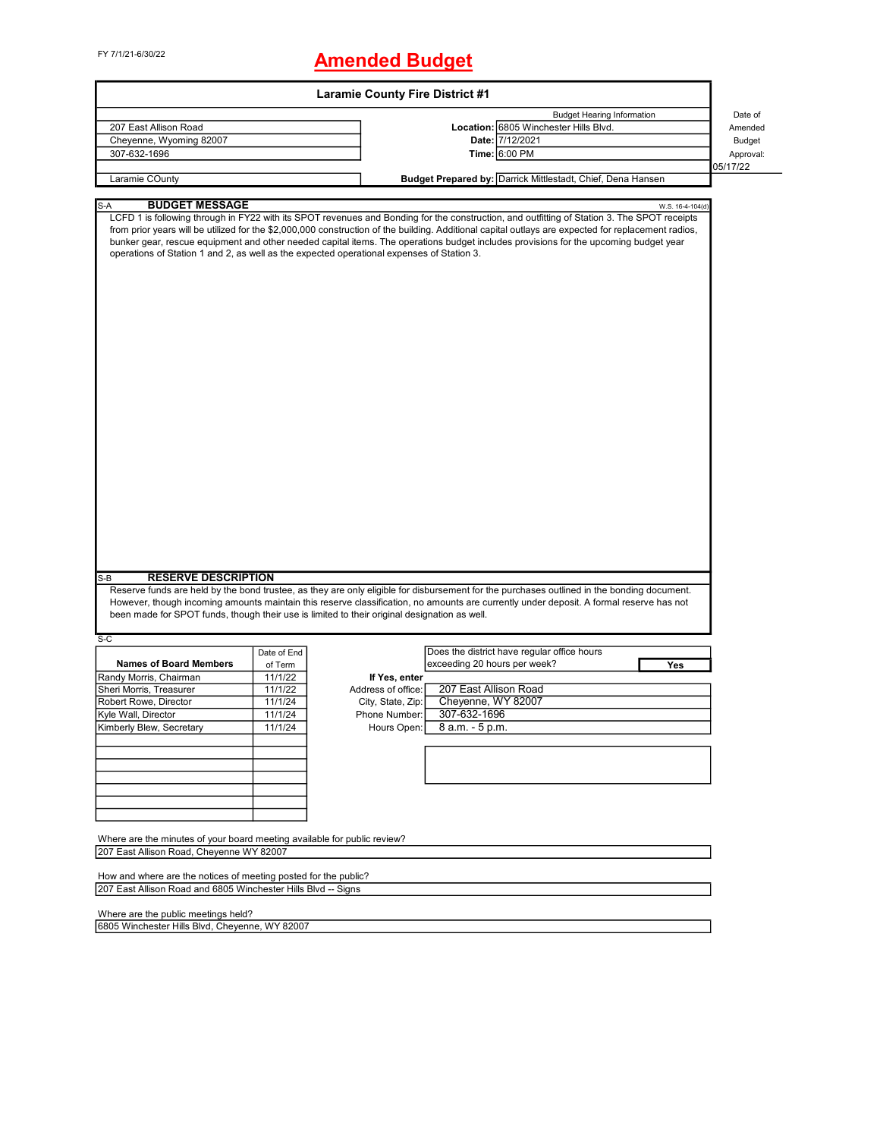# FY 7/1/21-6/30/22 **Amended Budget**

| <b>Laramie County Fire District #1</b>                                                                                            |                    |                    |                                                                                                                                                                                                                                                                                                                                                                                                                                            |                  |  |  |
|-----------------------------------------------------------------------------------------------------------------------------------|--------------------|--------------------|--------------------------------------------------------------------------------------------------------------------------------------------------------------------------------------------------------------------------------------------------------------------------------------------------------------------------------------------------------------------------------------------------------------------------------------------|------------------|--|--|
|                                                                                                                                   |                    |                    | <b>Budget Hearing Information</b>                                                                                                                                                                                                                                                                                                                                                                                                          | Date of          |  |  |
| 207 East Allison Road                                                                                                             |                    |                    | Location: 6805 Winchester Hills Blvd.                                                                                                                                                                                                                                                                                                                                                                                                      | Amended          |  |  |
| Cheyenne, Wyoming 82007                                                                                                           |                    |                    | Date: 7/12/2021                                                                                                                                                                                                                                                                                                                                                                                                                            | Budget           |  |  |
| 307-632-1696                                                                                                                      |                    |                    | Time: 6:00 PM                                                                                                                                                                                                                                                                                                                                                                                                                              | Approval:        |  |  |
|                                                                                                                                   |                    |                    |                                                                                                                                                                                                                                                                                                                                                                                                                                            | 05/17/22         |  |  |
| Laramie COunty                                                                                                                    |                    |                    | Budget Prepared by: Darrick Mittlestadt, Chief, Dena Hansen                                                                                                                                                                                                                                                                                                                                                                                |                  |  |  |
|                                                                                                                                   |                    |                    |                                                                                                                                                                                                                                                                                                                                                                                                                                            |                  |  |  |
| <b>BUDGET MESSAGE</b><br>S-A                                                                                                      |                    |                    |                                                                                                                                                                                                                                                                                                                                                                                                                                            | W.S. 16-4-104(d) |  |  |
| operations of Station 1 and 2, as well as the expected operational expenses of Station 3.                                         |                    |                    | LCFD 1 is following through in FY22 with its SPOT revenues and Bonding for the construction, and outfitting of Station 3. The SPOT receipts<br>from prior years will be utilized for the \$2,000,000 construction of the building. Additional capital outlays are expected for replacement radios,<br>bunker gear, rescue equipment and other needed capital items. The operations budget includes provisions for the upcoming budget year |                  |  |  |
|                                                                                                                                   |                    |                    |                                                                                                                                                                                                                                                                                                                                                                                                                                            |                  |  |  |
| <b>RESERVE DESCRIPTION</b><br>S-B<br>been made for SPOT funds, though their use is limited to their original designation as well. |                    |                    | Reserve funds are held by the bond trustee, as they are only eligible for disbursement for the purchases outlined in the bonding document.<br>However, though incoming amounts maintain this reserve classification, no amounts are currently under deposit. A formal reserve has not                                                                                                                                                      |                  |  |  |
|                                                                                                                                   |                    |                    |                                                                                                                                                                                                                                                                                                                                                                                                                                            |                  |  |  |
| $S-C$                                                                                                                             | Date of End        |                    | Does the district have regular office hours                                                                                                                                                                                                                                                                                                                                                                                                |                  |  |  |
| <b>Names of Board Members</b>                                                                                                     |                    |                    | exceeding 20 hours per week?                                                                                                                                                                                                                                                                                                                                                                                                               |                  |  |  |
|                                                                                                                                   | of Term<br>11/1/22 |                    |                                                                                                                                                                                                                                                                                                                                                                                                                                            | Yes              |  |  |
| Randy Morris, Chairman                                                                                                            |                    | If Yes, enter      |                                                                                                                                                                                                                                                                                                                                                                                                                                            |                  |  |  |
| Sheri Morris, Treasurer                                                                                                           | 11/1/22            | Address of office: | 207 East Allison Road                                                                                                                                                                                                                                                                                                                                                                                                                      |                  |  |  |
| Robert Rowe, Director                                                                                                             | 11/1/24            | City, State, Zip:  | Cheyenne, WY 82007                                                                                                                                                                                                                                                                                                                                                                                                                         |                  |  |  |
| Kyle Wall, Director                                                                                                               | 11/1/24            | Phone Number:      | 307-632-1696                                                                                                                                                                                                                                                                                                                                                                                                                               |                  |  |  |
| Kimberly Blew, Secretary                                                                                                          | 11/1/24            |                    | Hours Open: $8$ a.m. $-5$ p.m.                                                                                                                                                                                                                                                                                                                                                                                                             |                  |  |  |
|                                                                                                                                   |                    |                    |                                                                                                                                                                                                                                                                                                                                                                                                                                            |                  |  |  |
|                                                                                                                                   |                    |                    |                                                                                                                                                                                                                                                                                                                                                                                                                                            |                  |  |  |
| Where are the minutes of your board meeting available for public review?<br>207 East Allison Road, Cheyenne WY 82007              |                    |                    |                                                                                                                                                                                                                                                                                                                                                                                                                                            |                  |  |  |
|                                                                                                                                   |                    |                    |                                                                                                                                                                                                                                                                                                                                                                                                                                            |                  |  |  |
| How and where are the notices of meeting posted for the public?                                                                   |                    |                    |                                                                                                                                                                                                                                                                                                                                                                                                                                            |                  |  |  |
| 207 East Allison Road and 6805 Winchester Hills Blvd -- Signs                                                                     |                    |                    |                                                                                                                                                                                                                                                                                                                                                                                                                                            |                  |  |  |
| Where are the public meetings held?                                                                                               |                    |                    |                                                                                                                                                                                                                                                                                                                                                                                                                                            |                  |  |  |
| 6805 Winchester Hills Blvd, Cheyenne, WY 82007                                                                                    |                    |                    |                                                                                                                                                                                                                                                                                                                                                                                                                                            |                  |  |  |

6805 Winchester Hills Blvd, Cheyenne, WY 82007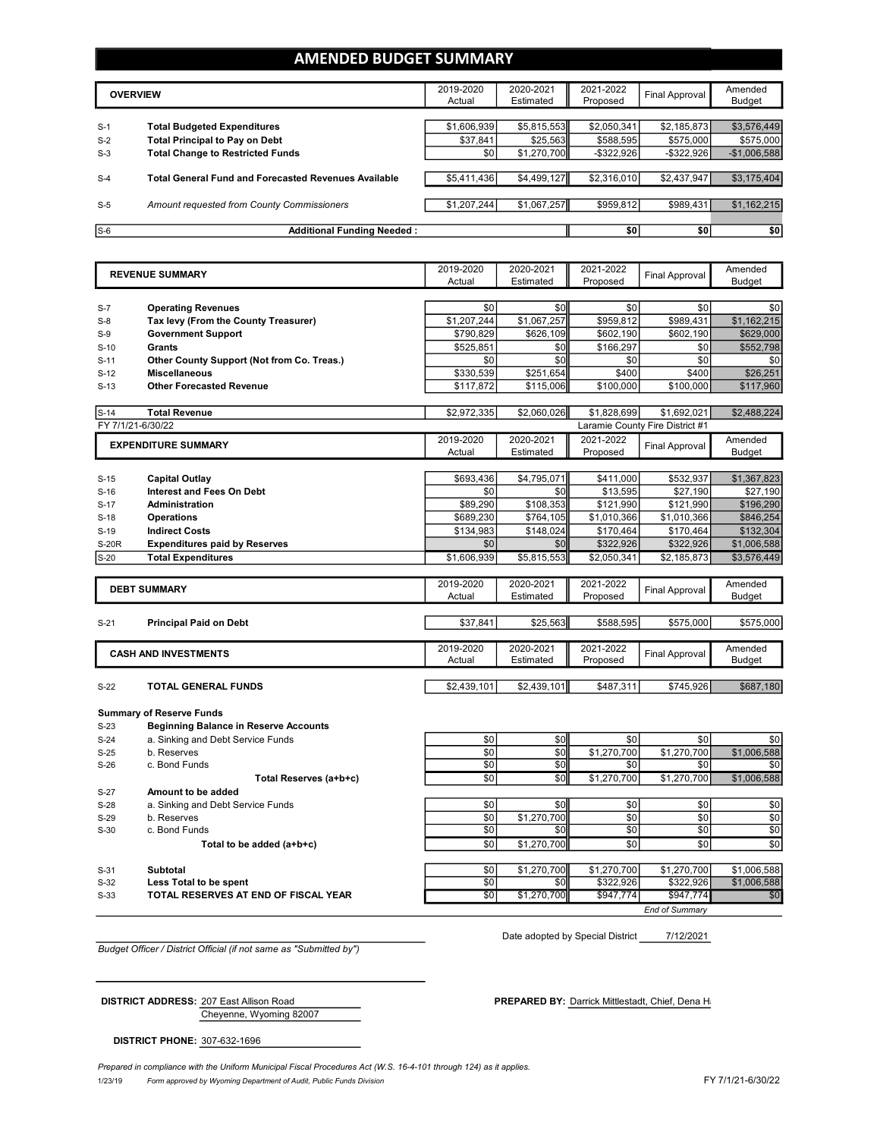### **AMENDED BUDGET SUMMARY**

|       | <b>OVERVIEW</b>                                             | 2019-2020<br>Actual | 2020-2021<br>Estimated | 2021-2022<br>Proposed | <b>Final Approval</b> | Amended<br>Budget |
|-------|-------------------------------------------------------------|---------------------|------------------------|-----------------------|-----------------------|-------------------|
| $S-1$ | <b>Total Budgeted Expenditures</b>                          | \$1,606,939         | \$5,815,553            | \$2,050,341           | \$2,185,873           | \$3,576,449       |
| $S-2$ | <b>Total Principal to Pay on Debt</b>                       | \$37,841            | \$25,563               | \$588.595             | \$575,000             | \$575,000         |
| $S-3$ | <b>Total Change to Restricted Funds</b>                     | \$0                 | \$1,270,700            | $-$ \$322,926         | $-$ \$322,926         | $-$1,006,588$     |
|       |                                                             |                     |                        |                       |                       |                   |
| $S-4$ | <b>Total General Fund and Forecasted Revenues Available</b> | \$5,411,436         | \$4,499,127            | \$2,316,010           | \$2,437,947           | \$3,175,404       |
| $S-5$ | Amount requested from County Commissioners                  | \$1,207,244         | \$1,067,257            | \$959,812             | \$989,431             | \$1,162,215       |
| $S-6$ | <b>Additional Funding Needed:</b>                           |                     |                        | \$0                   | \$0                   | \$0               |

|              | <b>REVENUE SUMMARY</b>                       | 2019-2020<br>Actual | 2020-2021<br>Estimated | 2021-2022<br>Proposed | <b>Final Approval</b>           | Amended<br><b>Budget</b> |
|--------------|----------------------------------------------|---------------------|------------------------|-----------------------|---------------------------------|--------------------------|
|              |                                              |                     |                        |                       |                                 |                          |
| $S-7$        | <b>Operating Revenues</b>                    | \$0                 | \$0                    | \$0                   | \$0                             | \$0                      |
| $S-8$        | Tax levy (From the County Treasurer)         | \$1,207,244         | \$1,067,257            | \$959,812             | \$989.431                       | \$1,162,215              |
| $S-9$        | <b>Government Support</b>                    | \$790,829           | \$626,109              | \$602,190             | \$602,190                       | \$629,000                |
| $S-10$       | Grants                                       | \$525,851           | \$0                    | \$166,297             | \$0                             | \$552,798                |
| $S-11$       | Other County Support (Not from Co. Treas.)   | \$0                 | \$0                    | \$0                   | \$0                             | \$0                      |
| $S-12$       | <b>Miscellaneous</b>                         | \$330,539           | \$251,654              | \$400                 | \$400                           | \$26,251                 |
| $S-13$       | <b>Other Forecasted Revenue</b>              | \$117,872           | \$115,006              | \$100,000             | \$100,000                       | \$117,960                |
|              |                                              |                     |                        |                       |                                 |                          |
| $S-14$       | <b>Total Revenue</b>                         | \$2,972,335         | \$2,060,026            | \$1,828,699           | \$1,692,021                     | \$2,488,224              |
|              | FY 7/1/21-6/30/22                            |                     |                        |                       | Laramie County Fire District #1 |                          |
|              | <b>EXPENDITURE SUMMARY</b>                   | 2019-2020           | 2020-2021              | 2021-2022             | <b>Final Approval</b>           | Amended                  |
|              |                                              | Actual              | Estimated              | Proposed              |                                 | Budget                   |
|              |                                              |                     |                        |                       |                                 |                          |
| $S-15$       | <b>Capital Outlay</b>                        | \$693.436           | \$4,795,071            | \$411,000             | \$532,937                       | \$1,367,823              |
| $S-16$       | <b>Interest and Fees On Debt</b>             | \$0                 | \$0                    | \$13,595              | \$27,190                        | \$27,190                 |
| $S-17$       | Administration                               | \$89,290            | \$108,353              | \$121,990             | \$121,990                       | \$196,290                |
| $S-18$       | <b>Operations</b>                            | \$689,230           | \$764,105              | \$1,010,366           | \$1,010,366                     | \$846,254                |
| $S-19$       | <b>Indirect Costs</b>                        | \$134,983           | \$148,024              | \$170,464             | \$170,464                       | \$132,304                |
| <b>S-20R</b> | <b>Expenditures paid by Reserves</b>         | \$0                 | \$0                    | \$322,926             | \$322,926                       | \$1,006,588              |
| $S-20$       | <b>Total Expenditures</b>                    | \$1,606,939         | \$5,815,553            | \$2,050,341           | \$2,185,873                     | \$3,576,449              |
|              |                                              |                     |                        |                       |                                 |                          |
|              | <b>DEBT SUMMARY</b>                          | 2019-2020<br>Actual | 2020-2021<br>Estimated | 2021-2022<br>Proposed | <b>Final Approval</b>           | Amended                  |
|              |                                              |                     |                        |                       |                                 | <b>Budget</b>            |
| $S-21$       | <b>Principal Paid on Debt</b>                | \$37,841            | \$25,563               | \$588,595             | \$575,000                       | \$575,000                |
|              |                                              |                     |                        |                       |                                 |                          |
|              | <b>CASH AND INVESTMENTS</b>                  | 2019-2020           | 2020-2021              | 2021-2022             |                                 | Amended                  |
|              |                                              | Actual              | Estimated              | Proposed              | Final Approval                  | <b>Budget</b>            |
|              |                                              |                     |                        |                       |                                 |                          |
| $S-22$       | <b>TOTAL GENERAL FUNDS</b>                   | \$2,439,101         | \$2,439,101            | \$487,311             | \$745,926                       | \$687,180                |
|              | <b>Summary of Reserve Funds</b>              |                     |                        |                       |                                 |                          |
| $S-23$       | <b>Beginning Balance in Reserve Accounts</b> |                     |                        |                       |                                 |                          |
| $S-24$       | a. Sinking and Debt Service Funds            | \$0                 | \$0                    | \$0                   | \$0                             | \$0                      |
| $S-25$       | b. Reserves                                  | \$0                 | \$0                    | \$1,270,700           | \$1,270,700                     | \$1,006,588              |
| $S-26$       | c. Bond Funds                                | \$0                 | \$0                    | \$0                   | \$0                             | \$0                      |
|              | Total Reserves (a+b+c)                       | \$0                 | \$0                    | \$1,270,700           | \$1,270,700                     | \$1,006,588              |
| $S-27$       | Amount to be added                           |                     |                        |                       |                                 |                          |
| $S-28$       | a. Sinking and Debt Service Funds            | \$0                 | \$0                    | \$0                   | \$0                             | \$0                      |
| $S-29$       | b. Reserves                                  | \$0                 | \$1,270,700            | \$0                   | \$0                             | \$0                      |
| $S-30$       | c. Bond Funds                                | \$0                 | \$0                    | \$0                   | \$0                             | \$0                      |
|              | Total to be added (a+b+c)                    | \$0                 | \$1,270,700            | \$0                   | \$0                             | \$0                      |
|              |                                              |                     |                        |                       |                                 |                          |
| $S-31$       | <b>Subtotal</b>                              | \$0                 | \$1,270,700            | \$1,270,700           | \$1,270,700                     | \$1,006,588              |
| $S-32$       | Less Total to be spent                       | \$0                 | \$0                    | \$322,926             | \$322,926                       | \$1,006,588              |
| $S-33$       | TOTAL RESERVES AT END OF FISCAL YEAR         | $\overline{50}$     | \$1,270,700            | \$947.774             | \$947,774                       | \$0                      |
|              |                                              |                     |                        |                       | End of Summarv                  |                          |

7/12/2021 Date adopted by Special District

*Budget Officer / District Official (if not same as "Submitted by")*

Cheyenne, Wyoming 82007 **DISTRICT ADDRESS:** 207 East Allison Road **PREPARED BY:** Darrick Mittlestadt, Chief, Dena Hansen

**DISTRICT PHONE:** 307-632-1696

1/23/19 *Form approved by Wyoming Department of Audit, Public Funds Division* FY 7/1/21-6/30/22 *Prepared in compliance with the Uniform Municipal Fiscal Procedures Act (W.S. 16-4-101 through 124) as it applies.*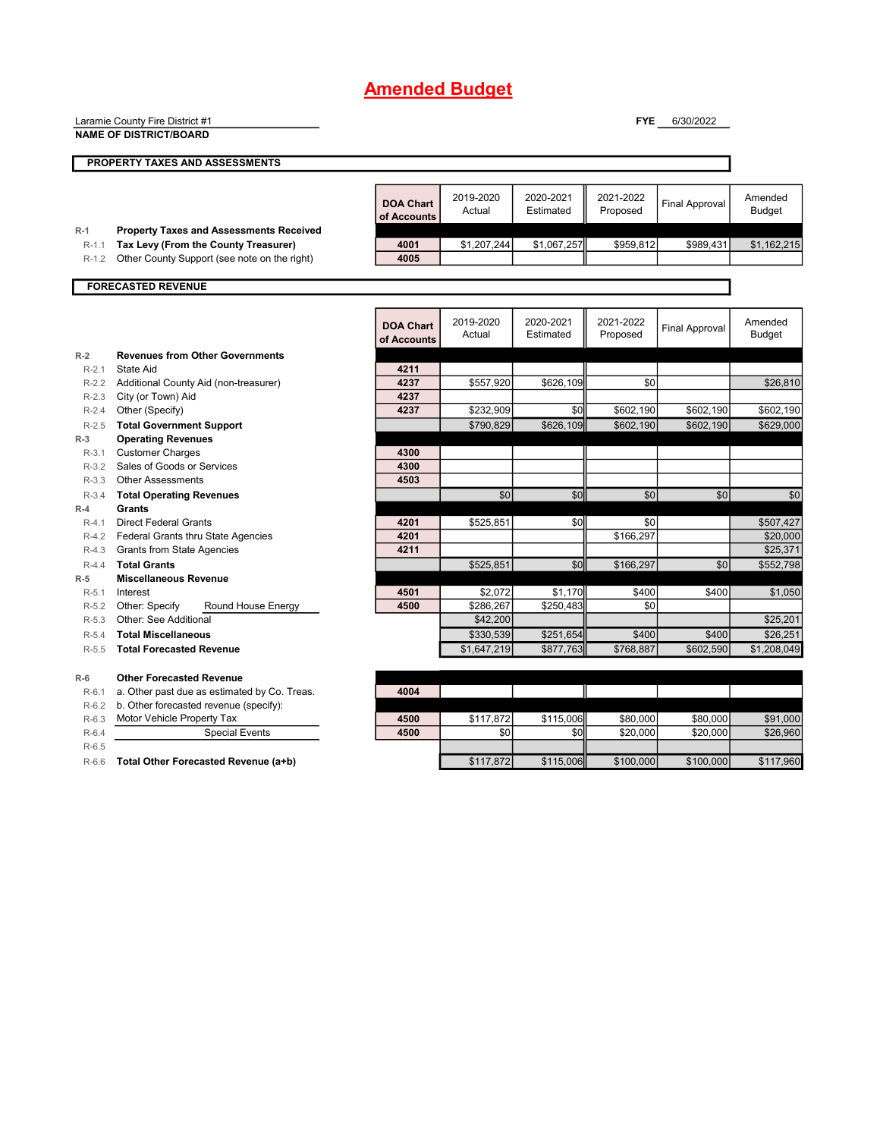|                  | Laramie County Fire District #1<br><b>NAME OF DISTRICT/BOARD</b>                       |                                 |                     |                        | <b>FYE</b>            | 6/30/2022             |                          |
|------------------|----------------------------------------------------------------------------------------|---------------------------------|---------------------|------------------------|-----------------------|-----------------------|--------------------------|
|                  |                                                                                        |                                 |                     |                        |                       |                       |                          |
|                  | PROPERTY TAXES AND ASSESSMENTS                                                         |                                 |                     |                        |                       |                       |                          |
|                  |                                                                                        | <b>DOA Chart</b><br>of Accounts | 2019-2020<br>Actual | 2020-2021<br>Estimated | 2021-2022<br>Proposed | <b>Final Approval</b> | Amended<br><b>Budget</b> |
| $R-1$<br>$R-1.1$ | <b>Property Taxes and Assessments Received</b><br>Tax Levy (From the County Treasurer) | 4001                            | \$1,207,244         | \$1,067,257            | \$959,812             | \$989,431             | \$1,162,215              |
| R-1.2            | Other County Support (see note on the right)                                           | 4005                            |                     |                        |                       |                       |                          |
|                  | <b>FORECASTED REVENUE</b>                                                              |                                 |                     |                        |                       |                       |                          |
|                  |                                                                                        |                                 |                     |                        |                       |                       |                          |
|                  |                                                                                        | <b>DOA Chart</b><br>of Accounts | 2019-2020<br>Actual | 2020-2021<br>Estimated | 2021-2022<br>Proposed | Final Approval        | Amended<br><b>Budget</b> |
| $R-2$            | <b>Revenues from Other Governments</b>                                                 |                                 |                     |                        |                       |                       |                          |
| $R - 2.1$        | State Aid                                                                              | 4211                            |                     |                        |                       |                       |                          |
|                  | R-2.2 Additional County Aid (non-treasurer)                                            | 4237                            | \$557,920           | \$626,109              | \$0                   |                       | \$26,810                 |
| $R-2.3$          | City (or Town) Aid                                                                     | 4237                            |                     |                        |                       |                       |                          |
| $R-2.4$          | Other (Specify)                                                                        | 4237                            | \$232,909           | \$0                    | \$602,190             | \$602,190             | \$602,190                |
| $R-2.5$          | <b>Total Government Support</b>                                                        |                                 | \$790,829           | \$626,109              | \$602,190             | \$602,190             | \$629,000                |
| $R-3$            | <b>Operating Revenues</b>                                                              |                                 |                     |                        |                       |                       |                          |
| $R-3.1$          | <b>Customer Charges</b>                                                                | 4300                            |                     |                        |                       |                       |                          |
| $R-3.2$          | Sales of Goods or Services                                                             | 4300                            |                     |                        |                       |                       |                          |
| R-3.3            | <b>Other Assessments</b>                                                               | 4503                            |                     |                        |                       |                       |                          |
| $R-3.4$          | <b>Total Operating Revenues</b>                                                        |                                 | \$0                 | \$0                    | \$0                   | \$0                   | \$0                      |
| $R-4$            | Grants                                                                                 |                                 |                     |                        |                       |                       |                          |
| $R-4.1$          | <b>Direct Federal Grants</b>                                                           | 4201                            | \$525,851           | \$0                    | \$0                   |                       | \$507,427                |
| $R-4.2$          | Federal Grants thru State Agencies                                                     | 4201                            |                     |                        | \$166.297             |                       | \$20,000                 |
| $R-4.3$          | <b>Grants from State Agencies</b>                                                      | 4211                            |                     |                        |                       |                       | \$25,371                 |
| $R - 4.4$        | <b>Total Grants</b>                                                                    |                                 | \$525,851           | \$0                    | \$166,297             | \$0                   | \$552,798                |
| $R-5$            | <b>Miscellaneous Revenue</b>                                                           |                                 |                     |                        |                       |                       |                          |
| $R-5.1$          | Interest                                                                               | 4501                            | \$2,072             | \$1,170                | \$400                 | \$400                 | \$1,050                  |
| R-5.2            | Other: Specify<br>Round House Energy                                                   | 4500                            | \$286,267           | \$250,483              | \$0                   |                       |                          |
| $R - 5.3$        | Other: See Additional                                                                  |                                 | \$42,200            |                        |                       |                       | \$25,201                 |
| $R - 5.4$        | <b>Total Miscellaneous</b>                                                             |                                 | \$330,539           | \$251,654              | \$400                 | \$400                 | \$26,251                 |
| $R-5.5$          | <b>Total Forecasted Revenue</b>                                                        |                                 | \$1,647,219         | \$877,763              | \$768,887             | \$602,590             | \$1,208,049              |
| $R-6$            | <b>Other Forecasted Revenue</b>                                                        |                                 |                     |                        |                       |                       |                          |
| R-6.1            | a. Other past due as estimated by Co. Treas.                                           | 4004                            |                     |                        |                       |                       |                          |
| $R-6.2$          | b. Other forecasted revenue (specify):                                                 |                                 |                     |                        |                       |                       |                          |
| $R-6.3$          | Motor Vehicle Property Tax                                                             | 4500                            | \$117,872           | \$115,006              | \$80,000              | \$80,000              | \$91,000                 |

R-6.4 Special Events **4500** \$0 \$0 \$20,000 \$20,000 \$26,960

R-6.5 R-6.6 **Total Other Forecasted Revenue (a+b) 5117,872** \$117,872 \$115,006 \$100,000 \$100,000 \$117,960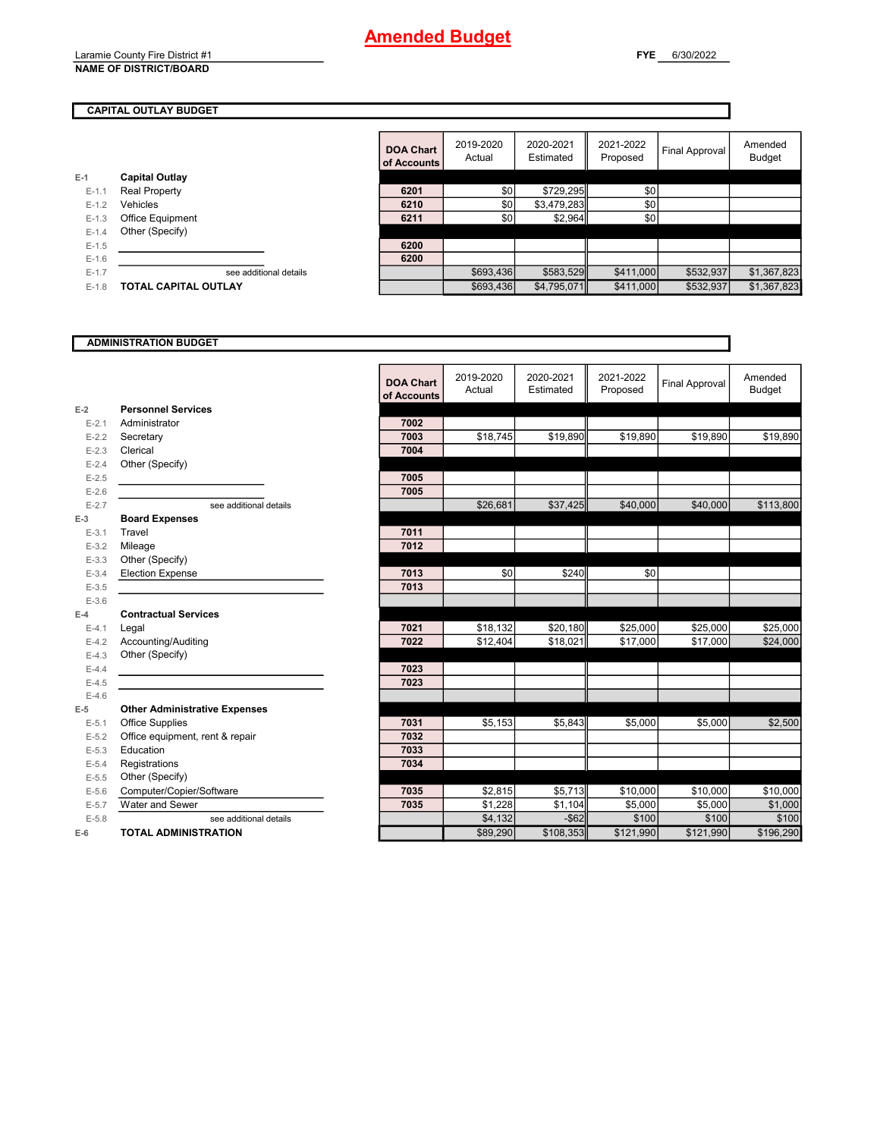#### Laramie County Fire District #1 **NAME OF DISTRICT/BOARD**

#### **CAPITAL OUTLAY BUDGET**

|         |                             | <b>DOA Chart</b><br>of Accounts | 2019-2020<br>Actual | 2020-2021<br>Estimated | 2021-2022<br>Proposed | Final Approval | Amended<br><b>Budget</b> |
|---------|-----------------------------|---------------------------------|---------------------|------------------------|-----------------------|----------------|--------------------------|
| $E-1$   | <b>Capital Outlay</b>       |                                 |                     |                        |                       |                |                          |
| $E-1$   | Real Property               | 6201                            | \$0                 | \$729,295              | \$0                   |                |                          |
| $E-1.2$ | Vehicles                    | 6210                            | \$0                 | \$3,479,283            | \$0                   |                |                          |
| $E-1.3$ | Office Equipment            | 6211                            | \$0                 | \$2,964                | \$0                   |                |                          |
| $E-1.4$ | Other (Specify)             |                                 |                     |                        |                       |                |                          |
| $E-1.5$ |                             | 6200                            |                     |                        |                       |                |                          |
| $E-1.6$ |                             | 6200                            |                     |                        |                       |                |                          |
| $E-1.7$ | see additional details      |                                 | \$693,436           | \$583,529              | \$411,000             | \$532,937      | \$1,367,823              |
| $E-1.8$ | <b>TOTAL CAPITAL OUTLAY</b> |                                 | \$693,436           | \$4,795,071            | \$411,000             | \$532,937      | \$1,367,823              |
|         |                             |                                 |                     |                        |                       |                |                          |

### **ADMINISTRATION BUDGET**

#### **E-2** E-2.1 Administrator E-2.2 **Secretary** E-2.3 **Clerical** E-2.4 Other (Specify) E-2.5 **7005** E-2.6 **7005 E-3** E-3.1 **Travel** E-3.2 Mileage E-3.3 Other (Specify) E-3.4 **Election Expense** E-3.5 **7013** E-3.6 **E-4** E-4.2 Accounting/Auditing E-4.3 Other (Specify) E-4.4 **7023** E-4.5 **7023** E-4.6 **E-5 Other Administrative Expenses** E-5.1 Office Supplies E-5.2 Office equipment, rent & repair E-5.3 **Education** E-5.4 **Registrations** E-5.5 Other (Specify) E-5.6 **Computer/Copier/Software**<br>**E-5.7** Water and Sewer **Water and Sewer E-6 TOTAL ADMINISTRATION Personnel Services Board Expenses Contractual Services**

|           |                                      | <b>DOA Chart</b><br>of Accounts | 2019-2020<br>Actual | 2020-2021<br>Estimated | 2021-2022<br>Proposed | <b>Final Approval</b> | Amended<br><b>Budget</b> |
|-----------|--------------------------------------|---------------------------------|---------------------|------------------------|-----------------------|-----------------------|--------------------------|
| Ž         | <b>Personnel Services</b>            |                                 |                     |                        |                       |                       |                          |
| $E - 2.1$ | Administrator                        | 7002                            |                     |                        |                       |                       |                          |
| $E - 2.2$ | Secretary                            | 7003                            | \$18,745            | \$19,890               | \$19,890              | \$19,890              | \$19,890                 |
| $E - 2.3$ | Clerical                             | 7004                            |                     |                        |                       |                       |                          |
| $E - 2.4$ | Other (Specify)                      |                                 |                     |                        |                       |                       |                          |
| $E-2.5$   |                                      | 7005                            |                     |                        |                       |                       |                          |
| $E - 2.6$ |                                      | 7005                            |                     |                        |                       |                       |                          |
| $E - 2.7$ | see additional details               |                                 | \$26,681            | \$37,425               | \$40,000              | \$40,000              | \$113,800                |
|           | <b>Board Expenses</b>                |                                 |                     |                        |                       |                       |                          |
| $E - 3.1$ | Travel                               | 7011                            |                     |                        |                       |                       |                          |
| $E - 3.2$ | Mileage                              | 7012                            |                     |                        |                       |                       |                          |
| $E - 3.3$ | Other (Specify)                      |                                 |                     |                        |                       |                       |                          |
| $E - 3.4$ | <b>Election Expense</b>              | 7013                            | \$0                 | \$240                  | \$0                   |                       |                          |
| $E - 3.5$ |                                      | 7013                            |                     |                        |                       |                       |                          |
| $E - 3.6$ |                                      |                                 |                     |                        |                       |                       |                          |
| Ĺ         | <b>Contractual Services</b>          |                                 |                     |                        |                       |                       |                          |
| $E - 4.1$ | Legal                                | 7021                            | \$18,132            | \$20,180               | \$25,000              | \$25,000              | \$25,000                 |
| $E - 4.2$ | Accounting/Auditing                  | 7022                            | \$12,404            | \$18,021               | \$17,000              | \$17,000              | \$24,000                 |
| $E - 4.3$ | Other (Specify)                      |                                 |                     |                        |                       |                       |                          |
| $E - 4.4$ |                                      | 7023                            |                     |                        |                       |                       |                          |
| $E-4.5$   |                                      | 7023                            |                     |                        |                       |                       |                          |
| $E - 4.6$ |                                      |                                 |                     |                        |                       |                       |                          |
| ś,        | <b>Other Administrative Expenses</b> |                                 |                     |                        |                       |                       |                          |
| $E - 5.1$ | Office Supplies                      | 7031                            | \$5,153             | \$5.843                | \$5,000               | \$5,000               | \$2,500                  |
| $E - 5.2$ | Office equipment, rent & repair      | 7032                            |                     |                        |                       |                       |                          |
| $E - 5.3$ | Education                            | 7033                            |                     |                        |                       |                       |                          |
| $E - 5.4$ | Registrations                        | 7034                            |                     |                        |                       |                       |                          |
| $E - 5.5$ | Other (Specify)                      |                                 |                     |                        |                       |                       |                          |
| $E - 5.6$ | Computer/Copier/Software             | 7035                            | \$2,815             | \$5,713                | \$10,000              | \$10,000              | \$10,000                 |
| $E - 5.7$ | Water and Sewer                      | 7035                            | \$1,228             | \$1.104                | \$5.000               | \$5,000               | \$1,000                  |
| $E - 5.8$ | see additional details               |                                 | \$4,132             | $-$ \$62               | \$100                 | \$100                 | \$100                    |
|           | <b>TOTAL ADMINISTRATION</b>          |                                 | \$89,290            | \$108,353              | \$121,990             | \$121,990             | \$196,290                |
|           |                                      |                                 |                     |                        |                       |                       |                          |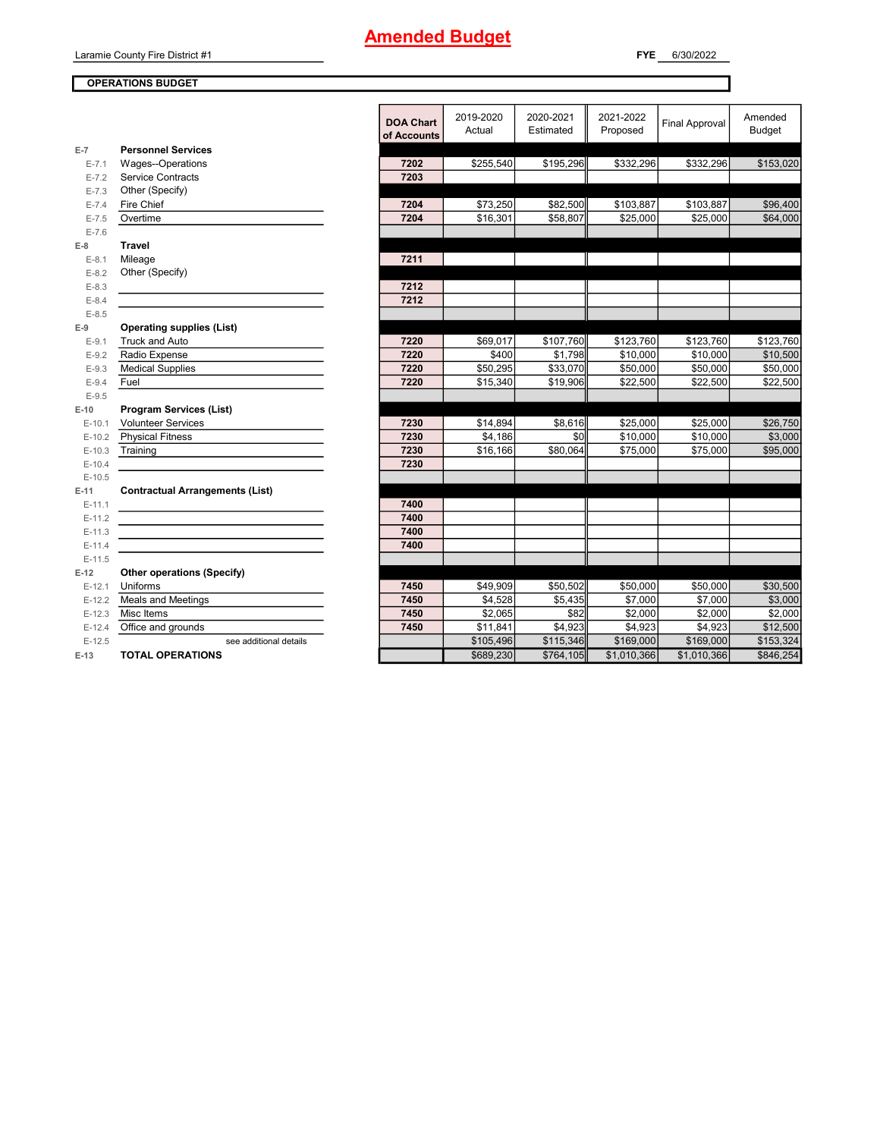Laramie County Fire District #1

### **OPERATIONS BUDGET**

|           |                                        | <b>DUA GR</b> |
|-----------|----------------------------------------|---------------|
|           |                                        | of Accou      |
| $E-7$     | <b>Personnel Services</b>              |               |
| $E - 7.1$ | Wages--Operations                      | 7202          |
| $E - 7.2$ | <b>Service Contracts</b>               | 7203          |
| $E - 7.3$ | Other (Specify)                        |               |
| $E - 7.4$ | Fire Chief                             | 7204          |
| $E - 7.5$ | Overtime                               | 7204          |
| $E - 7.6$ |                                        |               |
| $E-8$     | <b>Travel</b>                          |               |
| $E-8.1$   | Mileage                                | 7211          |
| $E-8.2$   | Other (Specify)                        |               |
| $E-8.3$   |                                        | 7212          |
| $E-8.4$   |                                        | 7212          |
| $E - 8.5$ |                                        |               |
| $E-9$     | <b>Operating supplies (List)</b>       |               |
| $E-9.1$   | <b>Truck and Auto</b>                  | 7220          |
| $E-9.2$   | Radio Expense                          | 7220          |
| $E-9.3$   | <b>Medical Supplies</b>                | 7220          |
| $E-9.4$   | Fuel                                   | 7220          |
| $E-9.5$   |                                        |               |
| $E-10$    | <b>Program Services (List)</b>         |               |
| $E-10.1$  | <b>Volunteer Services</b>              | 7230          |
| $E-10.2$  | <b>Physical Fitness</b>                | 7230          |
| $E-10.3$  | Training                               | 7230          |
| $E-10.4$  |                                        | 7230          |
| $E-10.5$  |                                        |               |
| $E-11$    | <b>Contractual Arrangements (List)</b> |               |
| $E-11.1$  |                                        | 7400          |
| $E-11.2$  |                                        | 7400          |
| $E-11.3$  |                                        | 7400          |
| $E-11.4$  |                                        | 7400          |
| $E-11.5$  |                                        |               |
| $E-12$    | Other operations (Specify)             |               |
| $E-12.1$  | Uniforms                               | 7450          |
| $E-12.2$  | <b>Meals and Meetings</b>              | 7450          |
| $E-12.3$  | Misc Items                             | 7450          |
| $E-12.4$  | Office and grounds                     | 7450          |
| $E-12.5$  | see additional details                 |               |
| $E-13$    | <b>TOTAL OPERATIONS</b>                |               |

|                | UPERATIUNS BUDGET                      |                                 |                     |                        |                       |                       |                          |
|----------------|----------------------------------------|---------------------------------|---------------------|------------------------|-----------------------|-----------------------|--------------------------|
|                |                                        | <b>DOA Chart</b><br>of Accounts | 2019-2020<br>Actual | 2020-2021<br>Estimated | 2021-2022<br>Proposed | <b>Final Approval</b> | Amended<br><b>Budget</b> |
| $\overline{7}$ | <b>Personnel Services</b>              |                                 |                     |                        |                       |                       |                          |
| $E - 7.1$      | Wages--Operations                      | 7202                            | \$255,540           | \$195,296              | \$332,296             | \$332,296             | \$153,020                |
| $E - 7.2$      | <b>Service Contracts</b>               | 7203                            |                     |                        |                       |                       |                          |
| $E - 7.3$      | Other (Specify)                        |                                 |                     |                        |                       |                       |                          |
| $E - 7.4$      | Fire Chief                             | 7204                            | \$73,250            | \$82,500               | \$103,887             | \$103,887             | \$96,400                 |
| $E - 7.5$      | Overtime                               | 7204                            | \$16,301            | \$58,807               | \$25,000              | \$25,000              | \$64,000                 |
| $E - 7.6$      |                                        |                                 |                     |                        |                       |                       |                          |
| 8              | <b>Travel</b>                          |                                 |                     |                        |                       |                       |                          |
| $E-8.1$        | Mileage                                | 7211                            |                     |                        |                       |                       |                          |
| $E-8.2$        | Other (Specify)                        |                                 |                     |                        |                       |                       |                          |
| $E-8.3$        |                                        | 7212                            |                     |                        |                       |                       |                          |
| $E - 8.4$      |                                        | 7212                            |                     |                        |                       |                       |                          |
| $E-8.5$        |                                        |                                 |                     |                        |                       |                       |                          |
| 9              | <b>Operating supplies (List)</b>       |                                 |                     |                        |                       |                       |                          |
| $E-9.1$        | Truck and Auto                         | 7220                            | \$69,017            | \$107,760              | \$123,760             | \$123,760             | \$123,760                |
| $E-9.2$        | Radio Expense                          | 7220                            | \$400               | \$1,798                | \$10,000              | \$10,000              | \$10,500                 |
| $E-9.3$        | <b>Medical Supplies</b>                | 7220                            | \$50,295            | \$33,070               | \$50,000              | \$50,000              | \$50,000                 |
| $E - 9.4$      | Fuel                                   | 7220                            | \$15,340            | \$19,906               | \$22,500              | \$22,500              | \$22,500                 |
| $E-9.5$        |                                        |                                 |                     |                        |                       |                       |                          |
| 10             | <b>Program Services (List)</b>         |                                 |                     |                        |                       |                       |                          |
| $E-10.1$       | <b>Volunteer Services</b>              | 7230                            | \$14,894            | \$8,616                | \$25,000              | \$25,000              | \$26,750                 |
| $E-10.2$       | <b>Physical Fitness</b>                | 7230                            | \$4,186             | \$0                    | \$10,000              | \$10,000              | \$3,000                  |
| $E-10.3$       | Training                               | 7230                            | \$16,166            | \$80,064               | \$75,000              | \$75,000              | \$95,000                 |
| $E-10.4$       |                                        | 7230                            |                     |                        |                       |                       |                          |
| $E-10.5$       |                                        |                                 |                     |                        |                       |                       |                          |
| 11             | <b>Contractual Arrangements (List)</b> |                                 |                     |                        |                       |                       |                          |
|                |                                        | 7400                            |                     |                        |                       |                       |                          |
| $E-11.1$       |                                        | 7400                            |                     |                        |                       |                       |                          |
| $E-11.2$       |                                        |                                 |                     |                        |                       |                       |                          |
| E-11.3         |                                        | 7400                            |                     |                        |                       |                       |                          |
| $E-11.4$       |                                        | 7400                            |                     |                        |                       |                       |                          |
| $E-11.5$       |                                        |                                 |                     |                        |                       |                       |                          |
| 12             | Other operations (Specify)             |                                 |                     |                        |                       |                       |                          |
| $E-12.1$       | Uniforms                               | 7450                            | \$49,909            | \$50,502               | \$50,000              | \$50,000              | \$30,500                 |
| $E-12.2$       | Meals and Meetings                     | 7450                            | \$4,528             | \$5,435                | \$7,000               | \$7,000               | \$3,000                  |
| $E-12.3$       | Misc Items                             | 7450                            | \$2,065             | \$82                   | \$2,000               | \$2,000               | \$2,000                  |
| $E-12.4$       | Office and grounds                     | 7450                            | \$11,841            | \$4,923                | \$4,923               | \$4,923               | \$12,500                 |
| $E-12.5$       | see additional details                 |                                 | \$105,496           | \$115,346              | \$169,000             | \$169,000             | \$153,324                |
| 13             | <b>TOTAL OPERATIONS</b>                |                                 | \$689,230           | \$764,105              | \$1,010,366           | \$1,010,366           | \$846,254                |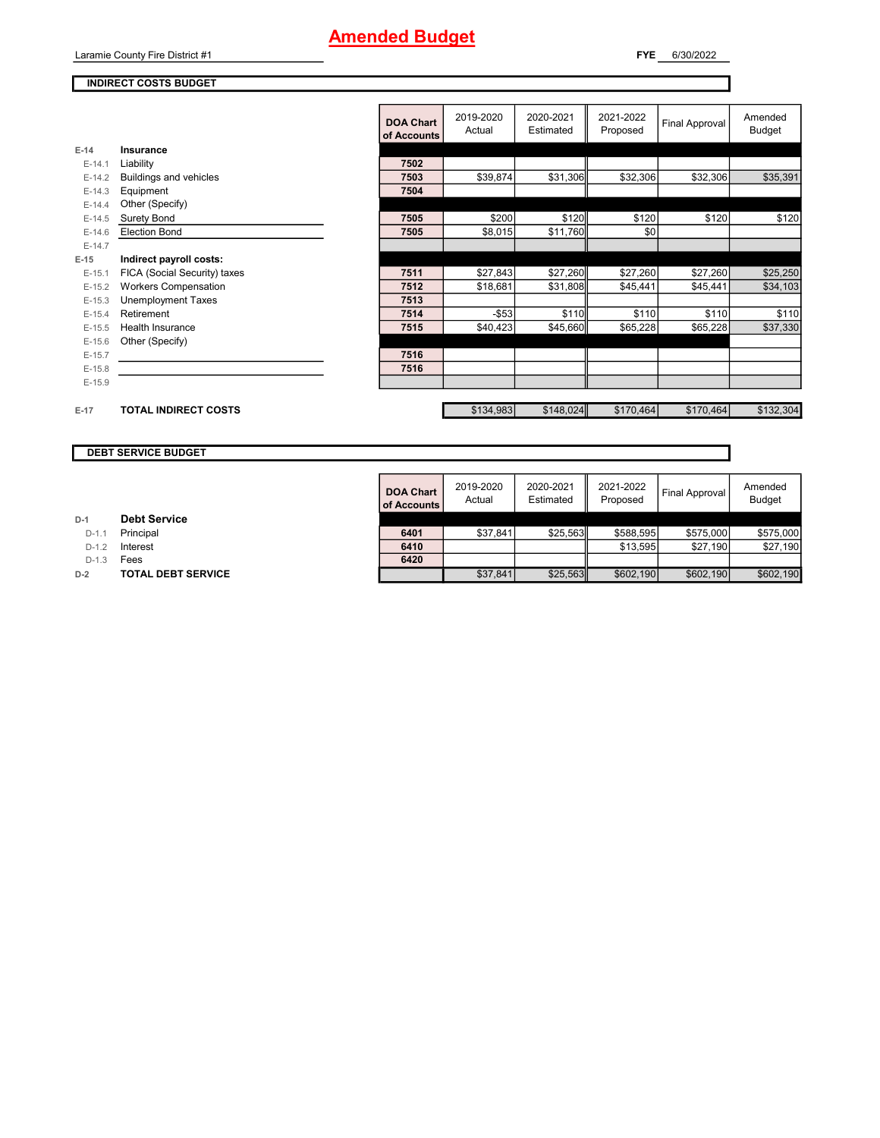Laramie County Fire District #1

**FYE** 6/30/2022

#### **INDIRECT COSTS BUDGET**

|          |                              | <b>DOA Chart</b><br>of Accounts | 2019-2020<br>Actual | 2020-2021<br>Estimated | 2021-2022<br>Proposed | Final Approval | Amended<br><b>Budget</b> |
|----------|------------------------------|---------------------------------|---------------------|------------------------|-----------------------|----------------|--------------------------|
| $E-14$   | Insurance                    |                                 |                     |                        |                       |                |                          |
| $E-14.1$ | Liability                    | 7502                            |                     |                        |                       |                |                          |
| $E-14.2$ | Buildings and vehicles       | 7503                            | \$39,874            | \$31,306               | \$32,306              | \$32,306       | \$35,391                 |
| $E-14.3$ | Equipment                    | 7504                            |                     |                        |                       |                |                          |
| $E-14.4$ | Other (Specify)              |                                 |                     |                        |                       |                |                          |
| $E-14.5$ | Surety Bond                  | 7505                            | \$200               | \$120                  | \$120                 | \$120          | \$120                    |
| $E-14.6$ | <b>Election Bond</b>         | 7505                            | \$8,015             | \$11,760               | \$0                   |                |                          |
| $E-14.7$ |                              |                                 |                     |                        |                       |                |                          |
| $E-15$   | Indirect payroll costs:      |                                 |                     |                        |                       |                |                          |
| $E-15.1$ | FICA (Social Security) taxes | 7511                            | \$27,843            | \$27,260               | \$27,260              | \$27,260       | \$25,250                 |
| $E-15.2$ | <b>Workers Compensation</b>  | 7512                            | \$18,681            | \$31,808               | \$45,441              | \$45,441       | \$34,103                 |
| $E-15.3$ | <b>Unemployment Taxes</b>    | 7513                            |                     |                        |                       |                |                          |
| $E-15.4$ | Retirement                   | 7514                            | $-$53$              | \$110                  | \$110                 | \$110          | \$110                    |
| $E-15.5$ | Health Insurance             | 7515                            | \$40,423            | \$45,660               | \$65,228              | \$65,228       | \$37,330                 |
| $E-15.6$ | Other (Specify)              |                                 |                     |                        |                       |                |                          |
| $E-15.7$ |                              | 7516                            |                     |                        |                       |                |                          |
| $E-15.8$ |                              | 7516                            |                     |                        |                       |                |                          |
| $E-15.9$ |                              |                                 |                     |                        |                       |                |                          |
| $E-17$   | <b>TOTAL INDIRECT COSTS</b>  |                                 | \$134,983           | \$148,024              | \$170,464             | \$170,464      | \$132,304                |

**DEBT SERVICE BUDGET**

**D-1 Debt Service**

**D-2 TOTAL DEBT SERVICE** 

D-1.3 **Fees** 

|         |                           | <b>DOA Chart</b><br>of Accounts | 2019-2020<br>Actual | 2020-2021<br>Estimated | 2021-2022<br>Proposed | Final Approval I | Amended<br><b>Budget</b> |
|---------|---------------------------|---------------------------------|---------------------|------------------------|-----------------------|------------------|--------------------------|
|         | <b>Debt Service</b>       |                                 |                     |                        |                       |                  |                          |
| $D-1.1$ | Principal                 | 6401                            | \$37,841            | \$25,563               | \$588,595             | \$575,000        | \$575,000                |
| $D-1.2$ | Interest                  | 6410                            |                     |                        | \$13.595              | \$27.190         | \$27,190                 |
| $D-1.3$ | Fees                      | 6420                            |                     |                        |                       |                  |                          |
|         | <b>TOTAL DEBT SERVICE</b> |                                 | \$37,841            | \$25,563               | \$602,190             | \$602.190        | \$602.190                |